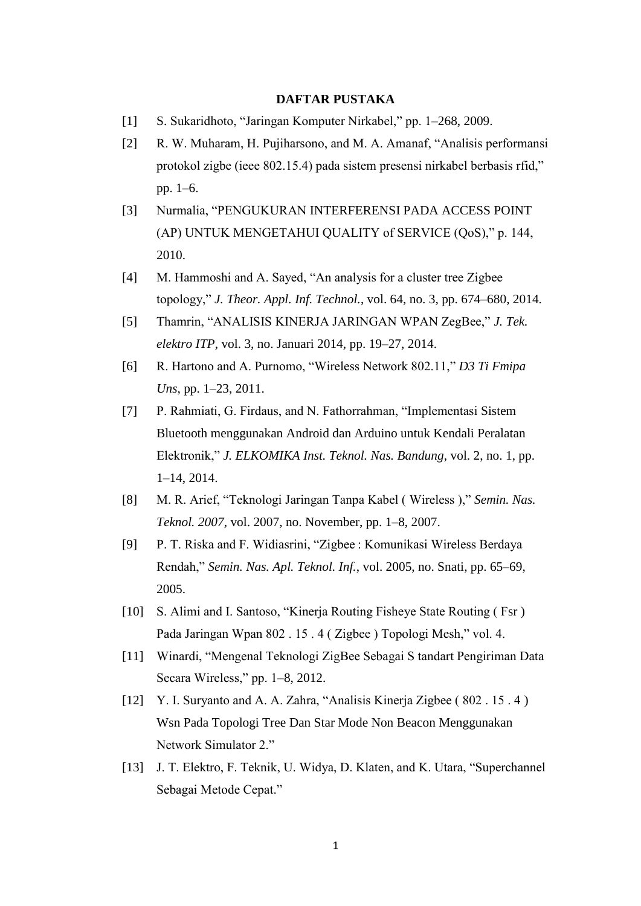## **DAFTAR PUSTAKA**

- [1] S. Sukaridhoto, "Jaringan Komputer Nirkabel," pp. 1–268, 2009.
- [2] R. W. Muharam, H. Pujiharsono, and M. A. Amanaf, "Analisis performansi protokol zigbe (ieee 802.15.4) pada sistem presensi nirkabel berbasis rfid," pp. 1–6.
- [3] Nurmalia, "PENGUKURAN INTERFERENSI PADA ACCESS POINT (AP) UNTUK MENGETAHUI QUALITY of SERVICE (QoS)," p. 144, 2010.
- [4] M. Hammoshi and A. Sayed, "An analysis for a cluster tree Zigbee topology," *J. Theor. Appl. Inf. Technol.*, vol. 64, no. 3, pp. 674–680, 2014.
- [5] Thamrin, "ANALISIS KINERJA JARINGAN WPAN ZegBee," *J. Tek. elektro ITP*, vol. 3, no. Januari 2014, pp. 19–27, 2014.
- [6] R. Hartono and A. Purnomo, "Wireless Network 802.11," *D3 Ti Fmipa Uns*, pp. 1–23, 2011.
- [7] P. Rahmiati, G. Firdaus, and N. Fathorrahman, "Implementasi Sistem Bluetooth menggunakan Android dan Arduino untuk Kendali Peralatan Elektronik," *J. ELKOMIKA Inst. Teknol. Nas. Bandung*, vol. 2, no. 1, pp. 1–14, 2014.
- [8] M. R. Arief, "Teknologi Jaringan Tanpa Kabel ( Wireless )," *Semin. Nas. Teknol. 2007*, vol. 2007, no. November, pp. 1–8, 2007.
- [9] P. T. Riska and F. Widiasrini, "Zigbee : Komunikasi Wireless Berdaya Rendah," *Semin. Nas. Apl. Teknol. Inf.*, vol. 2005, no. Snati, pp. 65–69, 2005.
- [10] S. Alimi and I. Santoso, "Kinerja Routing Fisheye State Routing (Fsr) Pada Jaringan Wpan 802 . 15 . 4 ( Zigbee ) Topologi Mesh," vol. 4.
- [11] Winardi, "Mengenal Teknologi ZigBee Sebagai S tandart Pengiriman Data Secara Wireless," pp. 1–8, 2012.
- [12] Y. I. Survanto and A. A. Zahra, "Analisis Kinerja Zigbee (802 . 15 . 4) Wsn Pada Topologi Tree Dan Star Mode Non Beacon Menggunakan Network Simulator 2."
- [13] J. T. Elektro, F. Teknik, U. Widya, D. Klaten, and K. Utara, "Superchannel" Sebagai Metode Cepat."